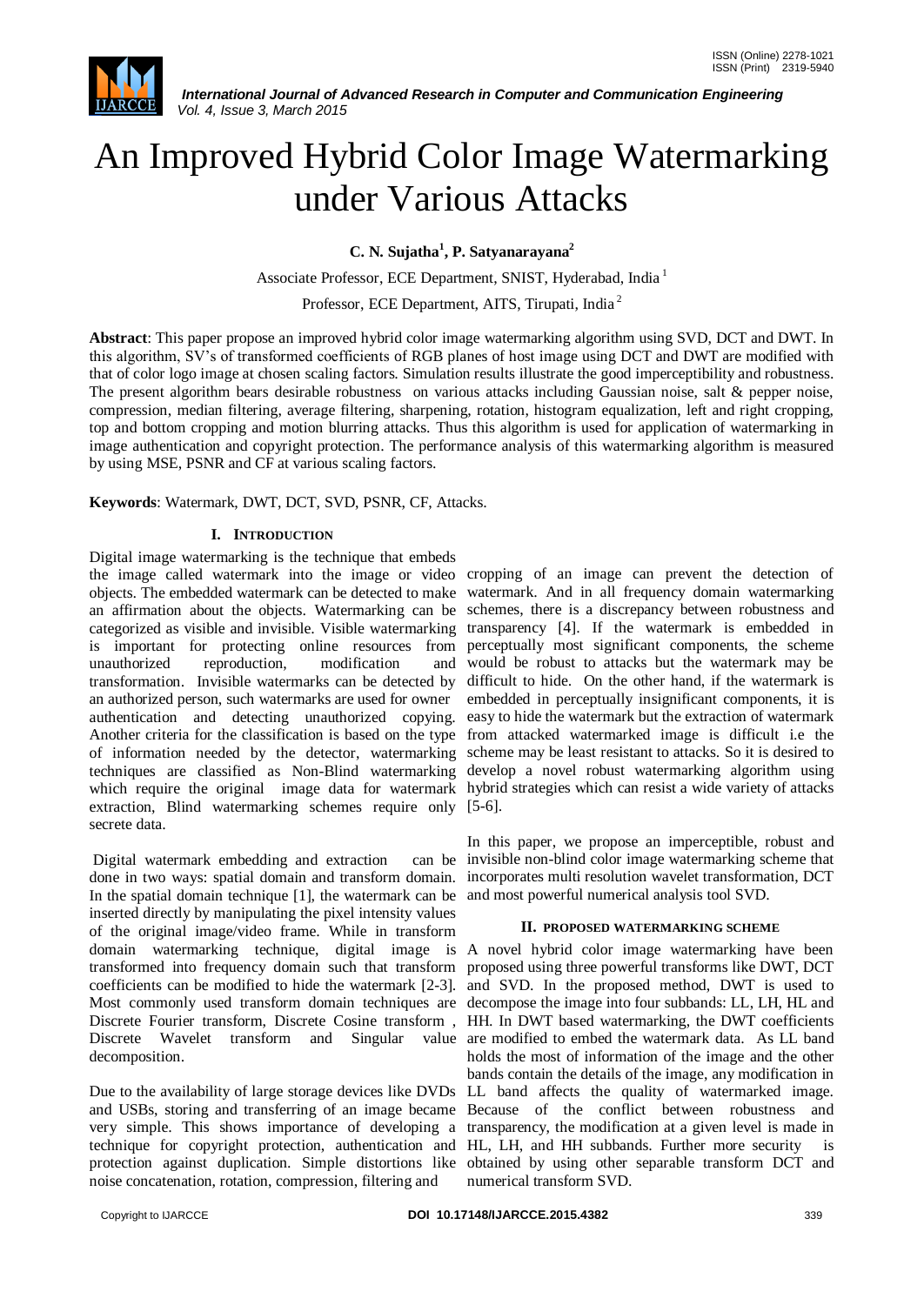

# An Improved Hybrid Color Image Watermarking under Various Attacks

**C. N. Sujatha<sup>1</sup> , P. Satyanarayana<sup>2</sup>**

Associate Professor, ECE Department, SNIST, Hyderabad, India <sup>1</sup>

Professor, ECE Department, AITS, Tirupati, India <sup>2</sup>

**Abstract**: This paper propose an improved hybrid color image watermarking algorithm using SVD, DCT and DWT. In this algorithm, SV"s of transformed coefficients of RGB planes of host image using DCT and DWT are modified with that of color logo image at chosen scaling factors. Simulation results illustrate the good imperceptibility and robustness. The present algorithm bears desirable robustness on various attacks including Gaussian noise, salt & pepper noise, compression, median filtering, average filtering, sharpening, rotation, histogram equalization, left and right cropping, top and bottom cropping and motion blurring attacks. Thus this algorithm is used for application of watermarking in image authentication and copyright protection. The performance analysis of this watermarking algorithm is measured by using MSE, PSNR and CF at various scaling factors.

**Keywords**: Watermark, DWT, DCT, SVD, PSNR, CF, Attacks.

# **I. INTRODUCTION**

Digital image watermarking is the technique that embeds the image called watermark into the image or video cropping of an image can prevent the detection of objects. The embedded watermark can be detected to make watermark. And in all frequency domain watermarking an affirmation about the objects. Watermarking can be categorized as visible and invisible. Visible watermarking transparency [4]. If the watermark is embedded in is important for protecting online resources from perceptually most significant components, the scheme unauthorized reproduction, modification transformation. Invisible watermarks can be detected by an authorized person, such watermarks are used for owner authentication and detecting unauthorized copying. Another criteria for the classification is based on the type of information needed by the detector, watermarking techniques are classified as Non-Blind watermarking which require the original image data for watermark hybrid strategies which can resist a wide variety of attacks extraction, Blind watermarking schemes require only [5-6]. secrete data.

Digital watermark embedding and extraction can be done in two ways: spatial domain and transform domain. In the spatial domain technique [1], the watermark can be inserted directly by manipulating the pixel intensity values of the original image/video frame. While in transform domain watermarking technique, digital image is A novel hybrid color image watermarking have been transformed into frequency domain such that transform coefficients can be modified to hide the watermark [2-3]. Most commonly used transform domain techniques are decompose the image into four subbands: LL, LH, HL and Discrete Fourier transform, Discrete Cosine transform , HH. In DWT based watermarking, the DWT coefficients Discrete Wavelet transform and Singular decomposition.

Due to the availability of large storage devices like DVDs LL band affects the quality of watermarked image. and USBs, storing and transferring of an image became Because of the conflict between robustness and very simple. This shows importance of developing a transparency, the modification at a given level is made in technique for copyright protection, authentication and HL, LH, and HH subbands. Further more security is protection against duplication. Simple distortions like obtained by using other separable transform DCT and noise concatenation, rotation, compression, filtering and

schemes, there is a discrepancy between robustness and would be robust to attacks but the watermark may be difficult to hide. On the other hand, if the watermark is embedded in perceptually insignificant components, it is easy to hide the watermark but the extraction of watermark from attacked watermarked image is difficult i.e the scheme may be least resistant to attacks. So it is desired to develop a novel robust watermarking algorithm using

In this paper, we propose an imperceptible, robust and invisible non-blind color image watermarking scheme that incorporates multi resolution wavelet transformation, DCT and most powerful numerical analysis tool SVD.

#### **II. PROPOSED WATERMARKING SCHEME**

proposed using three powerful transforms like DWT, DCT and SVD. In the proposed method, DWT is used to value are modified to embed the watermark data. As LL band holds the most of information of the image and the other bands contain the details of the image, any modification in numerical transform SVD.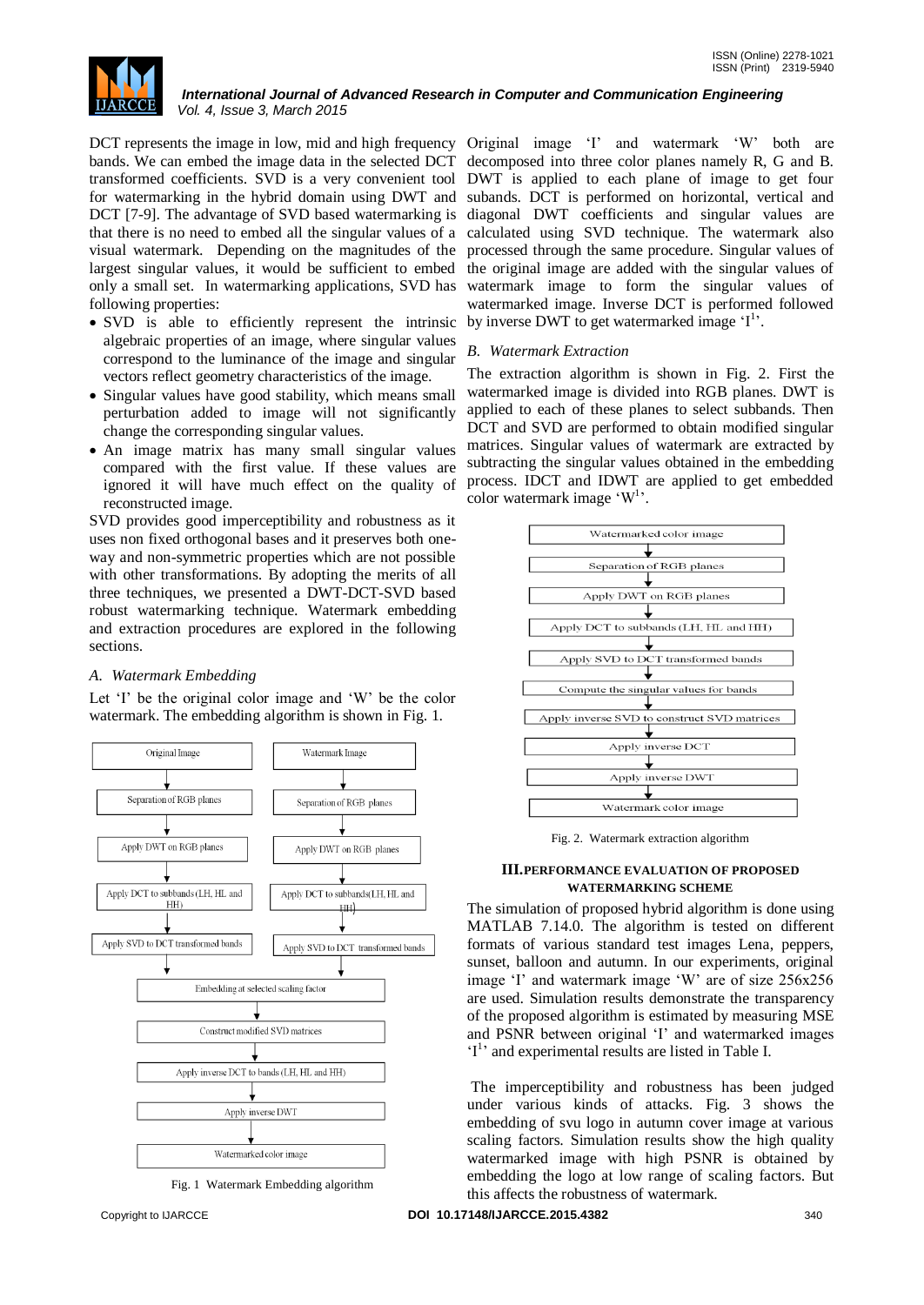

bands. We can embed the image data in the selected DCT that there is no need to embed all the singular values of a visual watermark. Depending on the magnitudes of the largest singular values, it would be sufficient to embed only a small set. In watermarking applications, SVD has following properties:

- SVD is able to efficiently represent the intrinsic algebraic properties of an image, where singular values correspond to the luminance of the image and singular vectors reflect geometry characteristics of the image.
- Singular values have good stability, which means small perturbation added to image will not significantly change the corresponding singular values.
- An image matrix has many small singular values compared with the first value. If these values are ignored it will have much effect on the quality of reconstructed image.

SVD provides good imperceptibility and robustness as it uses non fixed orthogonal bases and it preserves both oneway and non-symmetric properties which are not possible with other transformations. By adopting the merits of all three techniques, we presented a DWT-DCT-SVD based robust watermarking technique. Watermark embedding and extraction procedures are explored in the following sections.

# *A. Watermark Embedding*

Let  $'I'$  be the original color image and  $'W'$  be the color watermark. The embedding algorithm is shown in Fig. 1.



Fig. 1 Watermark Embedding algorithm

DCT represents the image in low, mid and high frequency Original image 'I' and watermark 'W' both are transformed coefficients. SVD is a very convenient tool DWT is applied to each plane of image to get four for watermarking in the hybrid domain using DWT and subands. DCT is performed on horizontal, vertical and DCT [7-9]. The advantage of SVD based watermarking is diagonal DWT coefficients and singular values are decomposed into three color planes namely R, G and B. calculated using SVD technique. The watermark also processed through the same procedure. Singular values of the original image are added with the singular values of watermark image to form the singular values of watermarked image. Inverse DCT is performed followed by inverse DWT to get watermarked image 'I<sup>1</sup>'.

# *B. Watermark Extraction*

The extraction algorithm is shown in Fig. 2. First the watermarked image is divided into RGB planes. DWT is applied to each of these planes to select subbands. Then DCT and SVD are performed to obtain modified singular matrices. Singular values of watermark are extracted by subtracting the singular values obtained in the embedding process. IDCT and IDWT are applied to get embedded color watermark image  $W^1$ .



Fig. 2. Watermark extraction algorithm

#### **III.PERFORMANCE EVALUATION OF PROPOSED WATERMARKING SCHEME**

The simulation of proposed hybrid algorithm is done using MATLAB 7.14.0. The algorithm is tested on different formats of various standard test images Lena, peppers, sunset, balloon and autumn. In our experiments, original image 'I' and watermark image 'W' are of size 256x256 are used. Simulation results demonstrate the transparency of the proposed algorithm is estimated by measuring MSE and PSNR between original 'I' and watermarked images 'I<sup>1</sup>' and experimental results are listed in Table I.

The imperceptibility and robustness has been judged under various kinds of attacks. Fig. 3 shows the embedding of svu logo in autumn cover image at various scaling factors. Simulation results show the high quality watermarked image with high PSNR is obtained by embedding the logo at low range of scaling factors. But this affects the robustness of watermark.

Copyright to IJARCCE **DOI 10.17148/IJARCCE.2015.4382** 340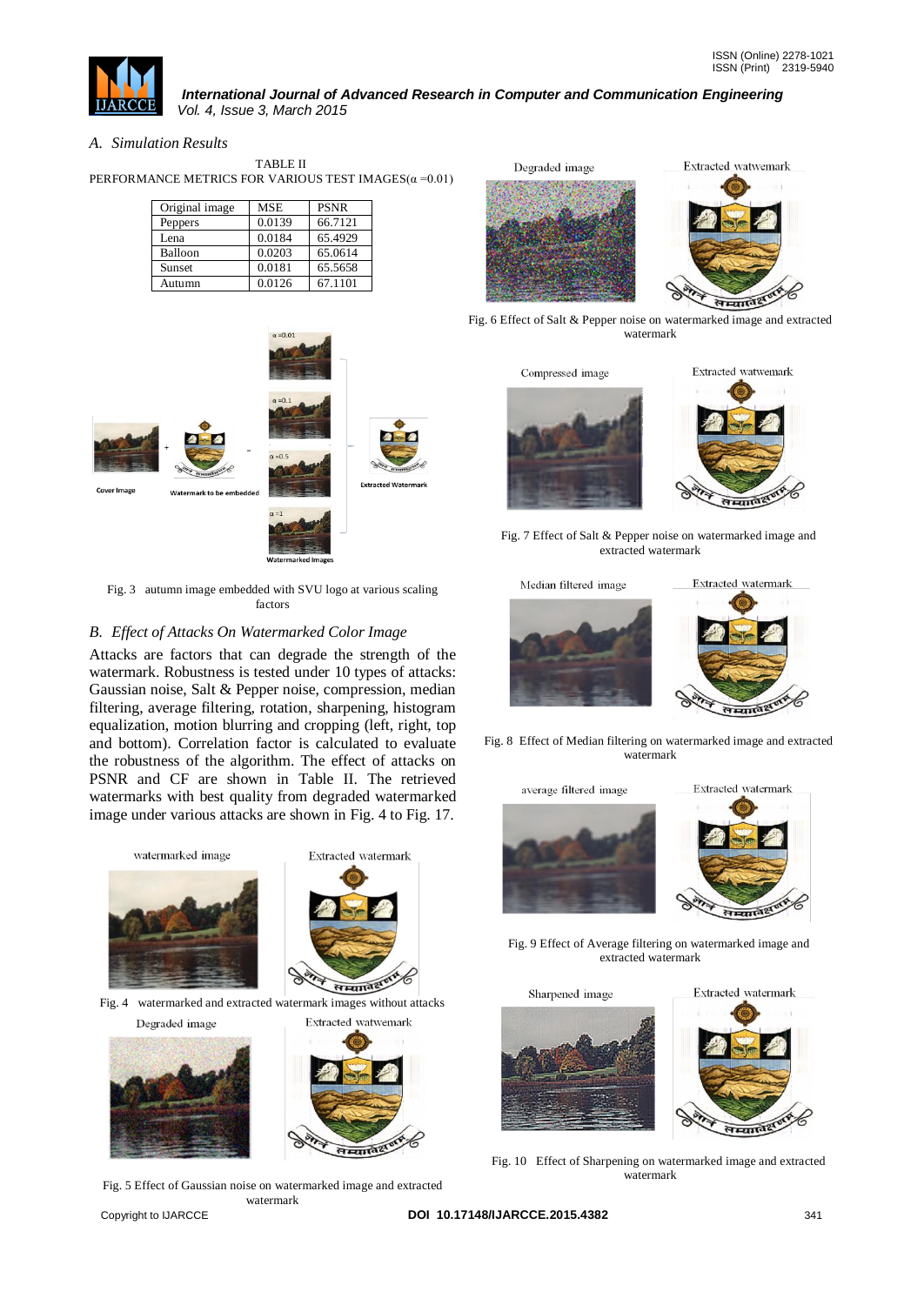

*A. Simulation Results*

TABLE II PERFORMANCE METRICS FOR VARIOUS TEST IMAGES( $\alpha$ =0.01)

| Original image | MSE    | <b>PSNR</b> |
|----------------|--------|-------------|
| Peppers        | 0.0139 | 66.7121     |
| Lena           | 0.0184 | 65.4929     |
| Balloon        | 0.0203 | 65.0614     |
| Sunset         | 0.0181 | 65.5658     |
| Autumn         | 0.0126 | 67.1101     |



Fig. 3 autumn image embedded with SVU logo at various scaling factors

# *B. Effect of Attacks On Watermarked Color Image*

Attacks are factors that can degrade the strength of the watermark. Robustness is tested under 10 types of attacks: Gaussian noise, Salt & Pepper noise, compression, median filtering, average filtering, rotation, sharpening, histogram equalization, motion blurring and cropping (left, right, top and bottom). Correlation factor is calculated to evaluate the robustness of the algorithm. The effect of attacks on PSNR and CF are shown in Table II. The retrieved watermarks with best quality from degraded watermarked image under various attacks are shown in Fig. 4 to Fig. 17.



Fig. 5 Effect of Gaussian noise on watermarked image and extracted watermark



Fig. 6 Effect of Salt & Pepper noise on watermarked image and extracted watermark



Fig. 7 Effect of Salt & Pepper noise on watermarked image and extracted watermark



Fig. 8 Effect of Median filtering on watermarked image and extracted watermark

average filtered image





Fig. 9 Effect of Average filtering on watermarked image and extracted watermark

Sharpened image

**EUITARY** 

Extracted watermark

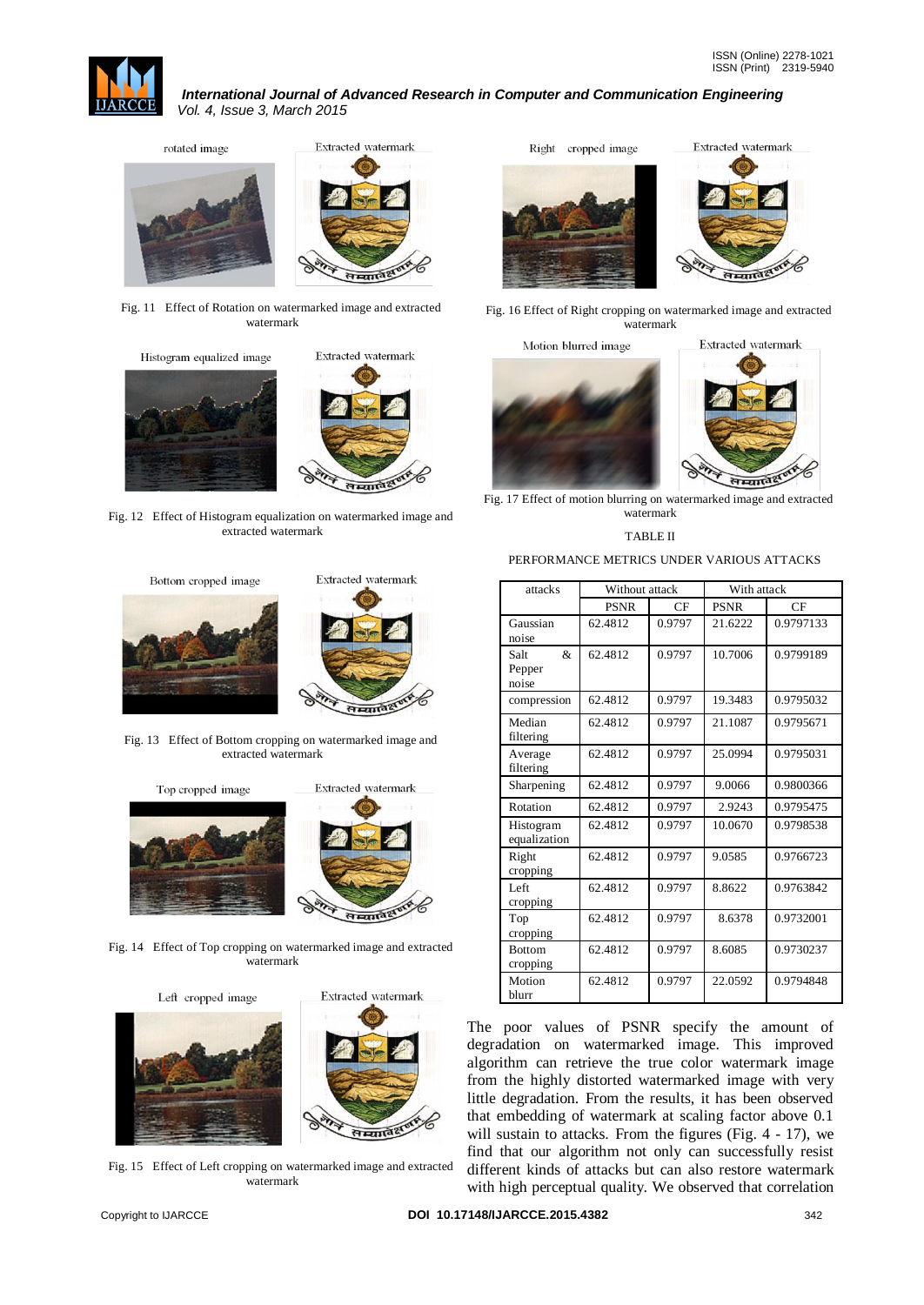



Fig. 11 Effect of Rotation on watermarked image and extracted watermark



Fig. 12 Effect of Histogram equalization on watermarked image and extracted watermark



Fig. 13 Effect of Bottom cropping on watermarked image and extracted watermark



Fig. 14 Effect of Top cropping on watermarked image and extracted watermark

Left cropped image



सम्मातक्षण

Fig. 15 Effect of Left cropping on watermarked image and extracted watermark



Fig. 16 Effect of Right cropping on watermarked image and extracted watermark

Motion blurred image



Fig. 17 Effect of motion blurring on watermarked image and extracted watermark

TABLE II

PERFORMANCE METRICS UNDER VARIOUS ATTACKS

| attacks                                  | Without attack |        | With attack |           |
|------------------------------------------|----------------|--------|-------------|-----------|
|                                          | <b>PSNR</b>    | CF     | <b>PSNR</b> | CF        |
| Gaussian<br>noise                        | 62.4812        | 0.9797 | 21.6222     | 0.9797133 |
| $\mathcal{R}$<br>Salt<br>Pepper<br>noise | 62.4812        | 0.9797 | 10.7006     | 0.9799189 |
| compression                              | 62.4812        | 0.9797 | 19.3483     | 0.9795032 |
| Median<br>filtering                      | 62.4812        | 0.9797 | 21.1087     | 0.9795671 |
| Average<br>filtering                     | 62.4812        | 0.9797 | 25.0994     | 0.9795031 |
| Sharpening                               | 62.4812        | 0.9797 | 9.0066      | 0.9800366 |
| Rotation                                 | 62.4812        | 0.9797 | 2.9243      | 0.9795475 |
| Histogram<br>equalization                | 62.4812        | 0.9797 | 10.0670     | 0.9798538 |
| Right<br>cropping                        | 62.4812        | 0.9797 | 9.0585      | 0.9766723 |
| Left<br>cropping                         | 62.4812        | 0.9797 | 8.8622      | 0.9763842 |
| Top<br>cropping                          | 62.4812        | 0.9797 | 8.6378      | 0.9732001 |
| <b>Bottom</b><br>cropping                | 62.4812        | 0.9797 | 8.6085      | 0.9730237 |
| Motion<br>blurr                          | 62.4812        | 0.9797 | 22.0592     | 0.9794848 |

The poor values of PSNR specify the amount of degradation on watermarked image. This improved algorithm can retrieve the true color watermark image from the highly distorted watermarked image with very little degradation. From the results, it has been observed that embedding of watermark at scaling factor above 0.1 will sustain to attacks. From the figures (Fig. 4 - 17), we find that our algorithm not only can successfully resist different kinds of attacks but can also restore watermark with high perceptual quality. We observed that correlation